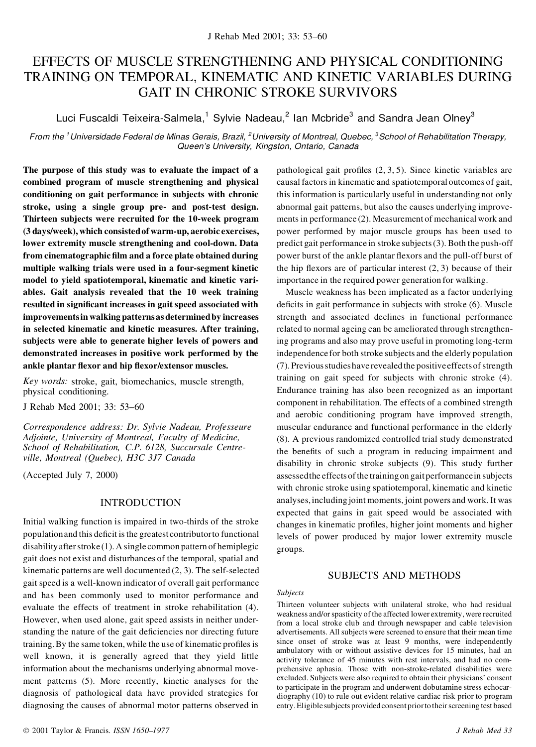# EFFECTS OF MUSCLE STRENGTHENING AND PHYSICAL CONDITIONING TRAINING ON TEMPORAL, KINEMATIC AND KINETIC VARIABLES DURING GAIT IN CHRONIC STROKE SURVIVORS

Luci Fuscaldi Teixeira-Salmela, $^1$  Sylvie Nadeau, $^2$  lan Mcbride $^3$  and Sandra Jean Olney $^3$ 

From the <sup>1</sup>Universidade Federal de Minas Gerais, Brazil, <sup>2</sup>University of Montreal, Quebec, <sup>3</sup>School of Rehabilitation Therapy, *Queen's University, Kingston, Ontario, Canada*

**The purpose of this study was to evaluate the impact of a combined program of muscle strengthening and physical conditioning on gait performance in subjects with chronic stroke, using a single group pre- and post-test design. Thirteen subjects were recruited for the 10-week program (3 days/week), which consistedof warm-up, aerobic exercises, lower extremity muscle strengthening and cool-down. Data from cinematographic lm and a force plate obtained during multiple walking trials were used in a four-segment kinetic model to yield spatiotemporal, kinematic and kinetic variables. Gait analysis revealed that the 10 week training resulted in signi cant increases in gait speed associated with improvementsin walking patternsasdeterminedby increases in selected kinematic and kinetic measures. After training, subjects were able to generate higher levels of powers and demonstrated increases in positive work performed by the ankle plantar exor and hip exor/extensor muscles.**

*Key words:* stroke, gait, biomechanics, muscle strength, physical conditioning.

J Rehab Med 2001; 33: 53–60

*Correspondence address: Dr. Sylvie Nadeau, Professeure Adjointe, University of Montreal, Faculty of Medicine, School of Rehabilitation, C.P. 6128, Succursale Centreville, Montreal (Quebec), H3C 3J7 Canada*

(Accepted July 7, 2000)

## INTRODUCTION

Initial walking function is impaired in two-thirds of the stroke population and this deficit is the greatest contributor to functional disabilityafterstroke (1). A single common pattern of hemiplegic gait does not exist and disturbances of the temporal, spatial and kinematic patterns are well documented (2, 3). The self-selected gait speed is a well-known indicator of overall gait performance and has been commonly used to monitor performance and evaluate the effects of treatment in stroke rehabilitation (4). However, when used alone, gait speed assists in neither understanding the nature of the gait deficiencies nor directing future training. By the same token, while the use of kinematic profiles is well known, it is generally agreed that they yield little information about the mechanisms underlying abnormal move ment patterns (5). More recently, kinetic analyses for the diagnosis of pathological data have provided strategies for diagnosing the causes of abnormal motor patterns observed in pathological gait profiles  $(2, 3, 5)$ . Since kinetic variables are causal factors in kinematic and spatiotemporal outcomes of gait, this information is particularly useful in understanding not only abnormal gait patterns, but also the causes underlying improvements in performance (2). Measurement of mechanical work and power performed by major muscle groups has been used to predict gait performance in stroke subjects(3). Both the push-off power burst of the ankle plantar flexors and the pull-off burst of the hip flexors are of particular interest  $(2, 3)$  because of their importance in the required power generation for walking.

Muscle weakness has been implicated as a factor underlying deficits in gait performance in subjects with stroke  $(6)$ . Muscle strength and associated declines in functional performance related to normal ageing can be ameliorated through strengthening programs and also may prove useful in promoting long-term independence for both stroke subjects and the elderly population (7). Previousstudieshave revealed the positiveeffectsofstrength training on gait speed for subjects with chronic stroke (4). Endurance training has also been recognized as an important component in rehabilitation. The effects of a combined strength and aerobic conditioning program have improved strength, muscular endurance and functional performance in the elderly (8). A previous randomized controlled trial study demonstrated the benefits of such a program in reducing impairment and disability in chronic stroke subjects (9). This study further assessedthe effectsofthe trainingon gaitperformancein subjects with chronic stroke using spatiotemporal, kinematic and kinetic analyses,including joint moments, joint powers and work. It was expected that gains in gait speed would be associated with changes in kinematic profiles, higher joint moments and higher levels of power produced by major lower extremity muscle groups.

## SUBJECTS AND METHODS

#### *Subjects*

Thirteen volunteer subjects with unilateral stroke, who had residual weakness and/or spasticity of the affected lower extremity, were recruited from a local stroke club and through newspaper and cable television advertisements. All subjects were screened to ensure that their mean time since onset of stroke was at least 9 months, were independently ambulatory with or without assistive devices for 15 minutes, had an activity tolerance of 45 minutes with rest intervals, and had no com prehensive aphasia. Those with non-stroke-related disabilities were excluded. Subjects were also required to obtain their physicians' consent to participate in the program and underwent dobutamine stress echocardiography (10) to rule out evident relative cardiac risk prior to program entry. Eligible subjects provided consent prior to their screening test based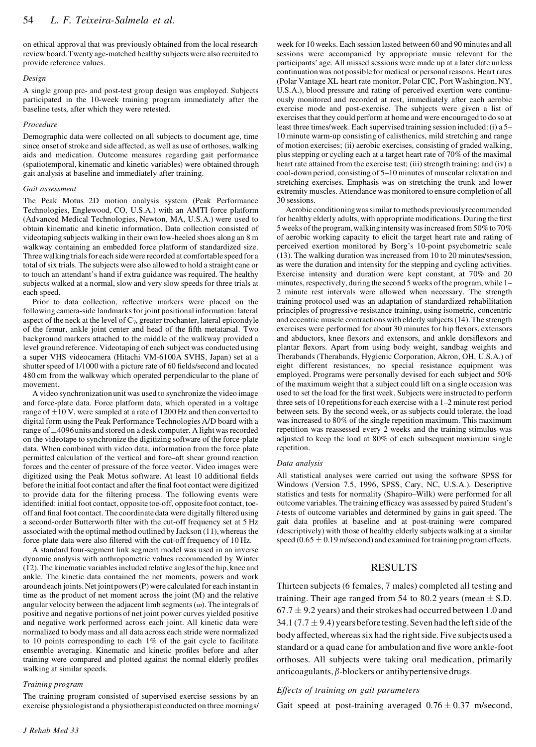on ethical approval that was previously obtained from the local research review board.Twenty age-matched healthy subjectswere also recruited to provide reference values.

#### *Design*

A single group pre- and post-test group design was employed. Subjects participated in the 10-week training program immediately after the baseline tests, after which they were retested.

#### *Procedure*

Demographic data were collected on all subjects to document age, time since onset of stroke and side affected, as well as use of orthoses, walking aids and medication. Outcome measures regarding gait performance (spatiotemporal, kinematic and kinetic variables) were obtained through gait analysis at baseline and immediately after training.

#### *Gait assessment*

The Peak Motus 2D motion analysis system (Peak Performance Technologies, Englewood, CO, U.S.A.) with an AMTI force platform (Advanced Medical Technologies, Newton, MA, U.S.A.) were used to obtain kinematic and kinetic information. Data collection consisted of videotaping subjects walking in their own low-heeled shoes along an 8 m walkway containing an embedded force platform of standardized size. Three walking trials for each side were recorded at comfortable speed for a total of six trials. The subjects were also allowed to hold a straight cane or to touch an attendant's hand if extra guidance was required. The healthy subjects walked at a normal, slow and very slow speeds for three trials at each speed.

Prior to data collection, reflective markers were placed on the following camera-side landmarks for joint positional information: lateral aspect of the neck at the level of  $C_7$ , greater trochanter, lateral epicondyle of the femur, ankle joint center and head of the fifth metatarsal. Two background markers attached to the middle of the walkway provided a level ground reference. Videotaping of each subject was conducted using a super VHS videocamera (Hitachi VM-6100A SVHS, Japan) set at a shutter speed of 1/1000 with a picture rate of 60 fields/second and located 480 cm from the walkway which operated perpendicular to the plane of movement.

A video synchronization unit was used to synchronize the video image and force-plate data. Force platform data, which operated in a voltage range of  $\pm 10$  V, were sampled at a rate of 1200 Hz and then converted to digital form using the Peak Performance Technologies A/D board with a range of  $\pm$ 4096 units and stored on a desk computer. A light was recorded on the videotape to synchronize the digitizing software of the force-plate data. When combined with video data, information from the force plate permitted calculation of the vertical and fore–aft shear ground reaction forces and the center of pressure of the force vector. Video images were digitized using the Peak Motus software. At least 10 additional fields before the initial foot contact and after the final foot contact were digitized to provide data for the filtering process. The following events were identified: initial foot contact, opposite toe-off, opposite foot contact, toeoff and final foot contact. The coordinate data were digitally filtered using a second-order Butterworth filter with the cut-off frequency set at 5 Hz associated with the optimal method outlined by Jackson (11), whereas the force-plate data were also filtered with the cut-off frequency of 10 Hz.

A standard four-segment link segment model was used in an inverse dynamic analysis with anthropometric values recommended by Winter (12).The kinematic variablesincluded relative angles of the hip, knee and ankle. The kinetic data contained the net moments, powers and work around each joints.Net jointpowers(P)were calculated for each instant in time as the product of net moment across the joint (M) and the relative angular velocity between the adjacent limb segments  $(\omega)$ . The integrals of positive and negative portions of net joint power curves yielded positive and negative work performed across each joint. All kinetic data were normalized to body mass and all data across each stride were normalized to 10 points corresponding to each 1% of the gait cycle to facilitate ensemble averaging. Kinematic and kinetic profiles before and after training were compared and plotted against the normal elderly profiles walking at similar speeds.

#### *Training program*

The training program consisted of supervised exercise sessions by an exercise physiologist and a physiotherapist conducted on three mornings/ week for 10 weeks. Each session lasted between 60 and 90 minutes and all sessions were accompanied by appropriate music relevant for the participants' age. All missed sessions were made up at a later date unless continuation was not possible for medical or personal reasons. Heart rates (Polar Vantage XL heart rate monitor, Polar CIC, Port Washington, NY, U.S.A.), blood pressure and rating of perceived exertion were continuously monitored and recorded at rest, immediately after each aerobic exercise mode and post-exercise. The subjects were given a list of exercises that they could perform at home and were encouraged to do so at least three times/week. Each supervised training session included:(i) a 5– 10 minute warm-up consisting of calisthenics, mild stretching and range of motion exercises; (ii) aerobic exercises, consisting of graded walking, plusstepping or cycling each at a target heart rate of 70% of the maximal heart rate attained from the exercise test; (iii) strength training; and (iv) a cool-down period, consisting of 5–10 minutes of muscular relaxation and stretching exercises. Emphasis was on stretching the trunk and lower extremity muscles. Attendance was monitored to ensure completion of all 30 sessions.

Aerobic conditioningwassimilarto methods previouslyrecommended for healthy elderly adults, with appropriate modifications. During the first 5weeks ofthe program,walkingintensitywasincreased from50%to 70% of aerobic working capacity to elicit the target heart rate and rating of perceived exertion monitored by Borg's 10-point psychometric scale (13). The walking duration was increased from 10 to 20 minutes/session, as were the duration and intensity for the stepping and cycling activities. Exercise intensity and duration were kept constant, at 70% and 20 minutes, respectively, during the second 5 weeks of the program, while 1– 2 minute rest intervals were allowed when necessary. The strength training protocol used was an adaptation of standardized rehabilitation principles of progressive-resistance training, using isometric, concentric and eccentric muscle contractionswith elderly subjects(14).The strength exercises were performed for about 30 minutes for hip flexors, extensors and abductors, knee flexors and extensors, and ankle dorsiflexors and plantar flexors. Apart from using body weight, sandbag weights and Therabands (Therabands, Hygienic Corporation, Akron, OH, U.S.A.) of eight different resistances, no special resistance equipment was employed. Programs were personally devised for each subject and 50% of the maximum weight that a subject could lift on a single occasion was used to set the load for the first week. Subjects were instructed to perform three sets of 10 repetitionsfor each exercise with a 1–2 minute rest period between sets. By the second week, or as subjects could tolerate, the load was increased to 80% of the single repetition maximum. This maximum repetition was reassessed every 2 weeks and the training stimulus was adjusted to keep the load at 80% of each subsequent maximum single repetition.

#### *Data analysis*

All statistical analyses were carried out using the software SPSS for Windows (Version 7.5, 1996, SPSS, Cary, NC, U.S.A.). Descriptive statistics and tests for normality (Shapiro–Wilk) were performed for all outcome variables. The training efficacy was assessed by paired Student's *t*-tests of outcome variables and determined by gains in gait speed. The gait data profiles at baseline and at post-training were compared (descriptively) with those of healthy elderly subjects walking at a similar speed  $(0.65 \pm 0.19 \text{ m/second})$  and examined for training program effects.

## RESULTS

Thirteen subjects(6 females, 7 males) completed all testing and training. Their age ranged from 54 to 80.2 years (mean  $\pm$  S.D.  $67.7 \pm 9.2$  years) and their strokes had occurred between 1.0 and 34.1 (7.7  $\pm$  9.4) years before testing. Seven had the left side of the body affected, whereas six had the right side. Five subjects used a standard or a quad cane for ambulation and five wore ankle-foot orthoses. All subjects were taking oral medication, primarily anticoagulants,  $\beta$ -blockers or antihypertensive drugs.

#### *Effects of training on gait parameters*

Gait speed at post-training averaged  $0.76 \pm 0.37$  m/second,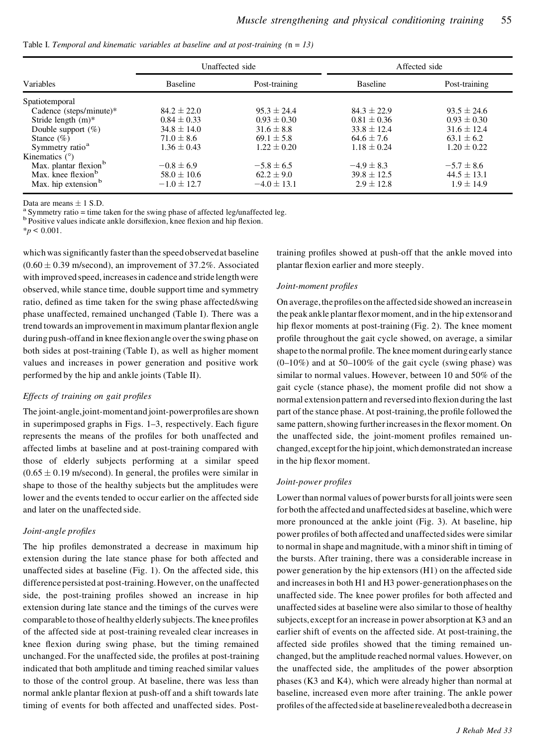|  | Table I. Temporal and kinematic variables at baseline and at post-training $(n = 13)$ |
|--|---------------------------------------------------------------------------------------|
|--|---------------------------------------------------------------------------------------|

| Variables                         | Unaffected side |                 | Affected side   |                 |
|-----------------------------------|-----------------|-----------------|-----------------|-----------------|
|                                   | <b>Baseline</b> | Post-training   | <b>Baseline</b> | Post-training   |
| Spatiotemporal                    |                 |                 |                 |                 |
| Cadence (steps/minute)*           | $84.2 \pm 22.0$ | $95.3 \pm 24.4$ | $84.3 \pm 22.9$ | $93.5 \pm 24.6$ |
| Stride length $(m)^*$             | $0.84 \pm 0.33$ | $0.93 \pm 0.30$ | $0.81 \pm 0.36$ | $0.93 \pm 0.30$ |
| Double support $(\%)$             | $34.8 \pm 14.0$ | $31.6 \pm 8.8$  | $33.8 + 12.4$   | $31.6 + 12.4$   |
| Stance $(\%)$                     | $71.0 \pm 8.6$  | $69.1 \pm 5.8$  | $64.6 \pm 7.6$  | $63.1 \pm 6.2$  |
| Symmetry ratio <sup>a</sup>       | $1.36 \pm 0.43$ | $1.22 \pm 0.20$ | $1.18 \pm 0.24$ | $1.20 \pm 0.22$ |
| Kinematics $(°)$                  |                 |                 |                 |                 |
| Max. plantar flexion <sup>b</sup> | $-0.8 \pm 6.9$  | $-5.8 \pm 6.5$  | $-4.9 \pm 8.3$  | $-5.7 \pm 8.6$  |
| Max. knee flexion <sup>b</sup>    | $58.0 \pm 10.6$ | $62.2 + 9.0$    | $39.8 \pm 12.5$ | $44.5 \pm 13.1$ |
| Max. hip extension <sup>b</sup>   | $-1.0 \pm 12.7$ | $-4.0 \pm 13.1$ | $2.9 \pm 12.8$  | $1.9 \pm 14.9$  |

Data are means  $\pm$  1 S.D.<br><sup>a</sup> Symmetry ratio = time taken for the swing phase of affected leg/unaffected leg.<br><sup>b</sup> Positive values indicate ankle dorsifiexion, knee flexion and hip flexion.

 $*_{p}$  < 0.001.

which was significantly faster than the speed observed at baseline  $(0.60 \pm 0.39 \text{ m/second})$ , an improvement of 37.2%. Associated with improved speed, increasesin cadence and stride length were observed, while stance time, double support time and symmetry ratio, defined as time taken for the swing phase affected/swing phase unaffected, remained unchanged (Table I). There was a trend towards an improvement in maximum plantar flexion angle during push-off and in knee flexion angle over the swing phase on both sides at post-training (Table I), as well as higher moment values and increases in power generation and positive work performed by the hip and ankle joints (Table II).

## *Effects of training on gait proles*

The joint-angle, joint-moment and joint-powerprofiles are shown in superimposed graphs in Figs.  $1-3$ , respectively. Each figure represents the means of the profiles for both unaffected and affected limbs at baseline and at post-training compared with those of elderly subjects performing at a similar speed  $(0.65 \pm 0.19 \text{ m/second})$ . In general, the profiles were similar in shape to those of the healthy subjects but the amplitudes were lower and the events tended to occur earlier on the affected side and later on the unaffected side.

## *Joint-angle profiles*

The hip profiles demonstrated a decrease in maximum hip extension during the late stance phase for both affected and unaffected sides at baseline (Fig. 1). On the affected side, this difference persisted at post-training.However, on the unaffected side, the post-training profiles showed an increase in hip extension during late stance and the timings of the curves were comparable to those of healthy elderly subjects. The knee profiles of the affected side at post-training revealed clear increases in knee flexion during swing phase, but the timing remained unchanged. For the unaffected side, the profiles at post-training indicated that both amplitude and timing reached similar values to those of the control group. At baseline, there was less than normal ankle plantar flexion at push-off and a shift towards late timing of events for both affected and unaffected sides. Posttraining profiles showed at push-off that the ankle moved into plantar flexion earlier and more steeply.

#### $Joint-moment$  *profiles*

On average, the profiles on the affected side showed an increase in the peak ankle plantar flexor moment, and in the hip extensor and hip flexor moments at post-training  $(Fig. 2)$ . The knee moment profile throughout the gait cycle showed, on average, a similar shape to the normal profile. The knee moment during early stance  $(0-10\%)$  and at 50-100% of the gait cycle (swing phase) was similar to normal values. However, between 10 and 50% of the gait cycle (stance phase), the moment profile did not show a normal extension pattern and reversed into flexion during the last part of the stance phase. At post-training, the profile followed the same pattern, showing further increases in the flexor moment. On the unaffected side, the joint-moment profiles remained unchanged,exceptforthe hip joint,which demonstratedan increase in the hip flexor moment.

#### *Joint-power profiles*

Lower than normal values of power bursts for all joints were seen for both the affected and unaffected sides at baseline, which were more pronounced at the ankle joint (Fig. 3). At baseline, hip power profiles of both affected and unaffected sides were similar to normal in shape and magnitude,with a minorshift in timing of the bursts. After training, there was a considerable increase in power generation by the hip extensors (H1) on the affected side and increasesin both H1 and H3 power-generationphases on the unaffected side. The knee power profiles for both affected and unaffected sides at baseline were also similar to those of healthy subjects, exceptfor an increase in power absorption at K3 and an earlier shift of events on the affected side. At post-training, the affected side profiles showed that the timing remained unchanged, but the amplitude reached normal values. However, on the unaffected side, the amplitudes of the power absorption phases (K3 and K4), which were already higher than normal at baseline, increased even more after training. The ankle power profiles of the affected side at baseline revealed both a decrease in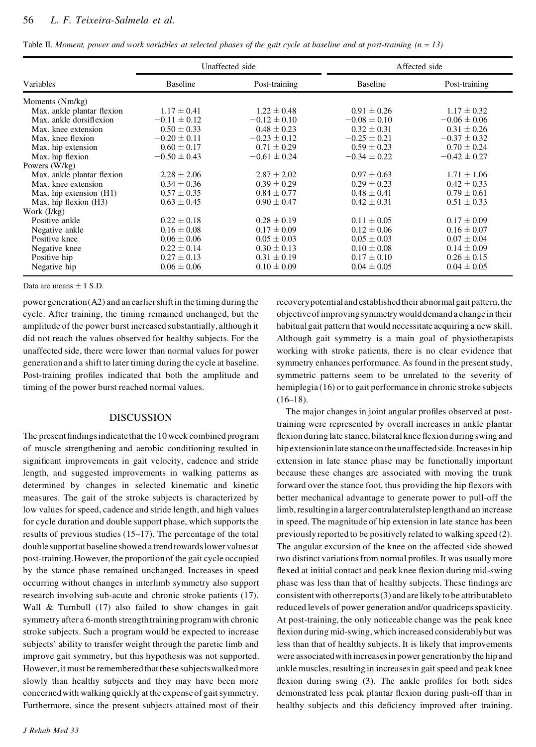|                            | Unaffected side  |                  | Affected side    |                  |
|----------------------------|------------------|------------------|------------------|------------------|
| Variables                  | <b>Baseline</b>  | Post-training    | <b>Baseline</b>  | Post-training    |
| Moments (Nm/kg)            |                  |                  |                  |                  |
| Max. ankle plantar flexion | $1.17 \pm 0.41$  | $1.22 \pm 0.48$  | $0.91 \pm 0.26$  | $1.17 \pm 0.32$  |
| Max. ankle dorsifiexion    | $-0.11 \pm 0.12$ | $-0.12 \pm 0.10$ | $-0.08 \pm 0.10$ | $-0.06 \pm 0.06$ |
| Max. knee extension        | $0.50 \pm 0.33$  | $0.48 \pm 0.23$  | $0.32 \pm 0.31$  | $0.31 \pm 0.26$  |
| Max. knee flexion          | $-0.20 \pm 0.11$ | $-0.23 \pm 0.12$ | $-0.25 \pm 0.21$ | $-0.37 \pm 0.32$ |
| Max. hip extension         | $0.60 \pm 0.17$  | $0.71 \pm 0.29$  | $0.59 \pm 0.23$  | $0.70 \pm 0.24$  |
| Max. hip flexion           | $-0.50 \pm 0.43$ | $-0.61 \pm 0.24$ | $-0.34 \pm 0.22$ | $-0.42 \pm 0.27$ |
| Powers $(W/kg)$            |                  |                  |                  |                  |
| Max. ankle plantar flexion | $2.28 \pm 2.06$  | $2.87 \pm 2.02$  | $0.97 + 0.63$    | $1.71 \pm 1.06$  |
| Max. knee extension        | $0.34 \pm 0.36$  | $0.39 \pm 0.29$  | $0.29 \pm 0.23$  | $0.42 \pm 0.33$  |
| Max. hip extension (H1)    | $0.57 \pm 0.35$  | $0.84 \pm 0.77$  | $0.48 \pm 0.41$  | $0.79 \pm 0.61$  |
| Max. hip flexion (H3)      | $0.63 \pm 0.45$  | $0.90 \pm 0.47$  | $0.42 \pm 0.31$  | $0.51 \pm 0.33$  |
| Work $(J/kg)$              |                  |                  |                  |                  |
| Positive ankle             | $0.22 \pm 0.18$  | $0.28 \pm 0.19$  | $0.11 \pm 0.05$  | $0.17 \pm 0.09$  |
| Negative ankle             | $0.16 \pm 0.08$  | $0.17 \pm 0.09$  | $0.12 \pm 0.06$  | $0.16 \pm 0.07$  |
| Positive knee              | $0.06 \pm 0.06$  | $0.05 \pm 0.03$  | $0.05 \pm 0.03$  | $0.07 \pm 0.04$  |
| Negative knee              | $0.22 \pm 0.14$  | $0.30 \pm 0.13$  | $0.10 \pm 0.08$  | $0.14 \pm 0.09$  |
| Positive hip               | $0.27 \pm 0.13$  | $0.31 \pm 0.19$  | $0.17 \pm 0.10$  | $0.26 \pm 0.15$  |
| Negative hip               | $0.06 \pm 0.06$  | $0.10 \pm 0.09$  | $0.04 \pm 0.05$  | $0.04 \pm 0.05$  |

Data are means  $\pm$  1 S.D.

power generation  $(A2)$  and an earlier shift in the timing during the cycle. After training, the timing remained unchanged, but the amplitude of the power burst increased substantially, although it did not reach the values observed for healthy subjects. For the unaffected side, there were lower than normal values for power generation and a shift to later timing during the cycle at baseline. Post-training profiles indicated that both the amplitude and timing of the power burst reached normal values.

## DISCUSSION

The present findings indicate that the 10 week combined program of muscle strengthening and aerobic conditioning resulted in significant improvements in gait velocity, cadence and stride length, and suggested improvements in walking patterns as determined by changes in selected kinematic and kinetic measures. The gait of the stroke subjects is characterized by low values for speed, cadence and stride length, and high values for cycle duration and double support phase, which supports the results of previous studies (15–17). The percentage of the total double support at baseline showed a trend towards lower values at post-training.However, the proportionof the gait cycle occupied by the stance phase remained unchanged. Increases in speed occurring without changes in interlimb symmetry also support research involving sub-acute and chronic stroke patients (17). Wall & Turnbull (17) also failed to show changes in gait symmetry after a 6-month strengthtraining programwith chronic stroke subjects. Such a program would be expected to increase subjects' ability to transfer weight through the paretic limb and improve gait symmetry, but this hypothesis was not supported. However, it must be remembered that these subjects walked more slowly than healthy subjects and they may have been more concerned with walking quickly at the expense of gait symmetry. Furthermore, since the present subjects attained most of their

recoverypotential and establishedtheir abnormalgait pattern,the objectiveofimprovingsymmetrywoulddemand a change in their habitual gait pattern that would necessitate acquiring a new skill. Although gait symmetry is a main goal of physiotherapists working with stroke patients, there is no clear evidence that symmetry enhances performance. As found in the present study, symmetric patterns seem to be unrelated to the severity of hemiplegia (16) or to gait performance in chronic stroke subjects  $(16–18)$ .

The major changes in joint angular profiles observed at posttraining were represented by overall increases in ankle plantar flexion during late stance, bilateral knee flexion during swing and hip extension in late stance on the unaffected side. Increases in hip extension in late stance phase may be functionally important because these changes are associated with moving the trunk forward over the stance foot, thus providing the hip flexors with better mechanical advantage to generate power to pull-off the limb, resulting in a larger contralateralstep length and an increase in speed. The magnitude of hip extension in late stance has been previously reported to be positively related to walking speed (2). The angular excursion of the knee on the affected side showed two distinct variations from normal profiles. It was usually more flexed at initial contact and peak knee flexion during mid-swing phase was less than that of healthy subjects. These findings are consistentwith otherreports(3) and are likely to be attributableto reduced levels of power generation and/or quadriceps spasticity. At post-training, the only noticeable change was the peak knee flexion during mid-swing, which increased considerably but was less than that of healthy subjects. It is likely that improvements were associatedwith increasesin power generationby the hip and ankle muscles, resulting in increasesin gait speed and peak knee flexion during swing  $(3)$ . The ankle profiles for both sides demonstrated less peak plantar flexion during push-off than in healthy subjects and this deficiency improved after training.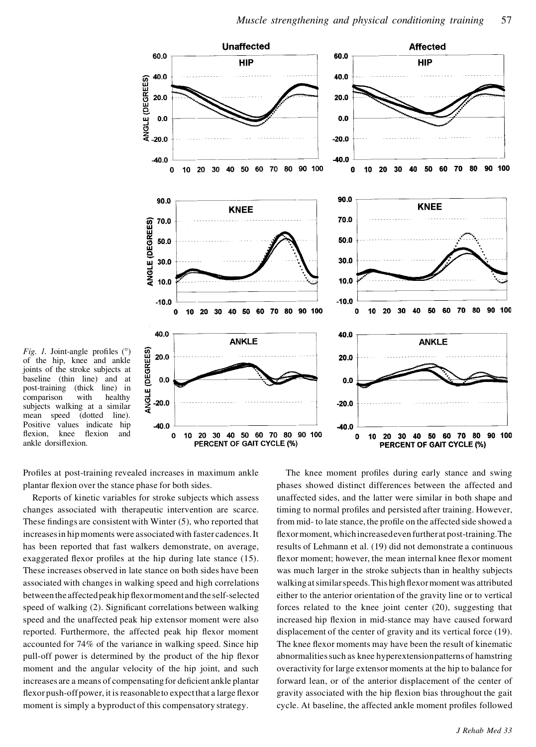

*Fig. 1.* Joint-angle profiles (°) *Fig. 1.* Joint-angle profiles ( $\degree$ ) of the hip, knee and ankle<br>joints of the stroke subjects at baseline (thin line) and at post-training (thick line) in comparison with healthy subjects walking at a similar joints of the stroke subjects at<br>baseline (thin line) and at baseline (thin line) and at post-training (thick line) in post-training (thick line) in comparison with healthy subjects walking at a similar mean speed (dotted line). Positive values indicate hip<br>flexion knee flexion and flexion, knee flexion and ankle dorsiflexion.

Profiles at post-training revealed increases in maximum ankle plantar flexion over the stance phase for both sides.

Reports of kinetic variables for stroke subjects which assess changes associated with therapeutic intervention are scarce. These findings are consistent with Winter  $(5)$ , who reported that increasesin hipmoments were associatedwith faster cadences.It has been reported that fast walkers demonstrate, on average, exaggerated flexor profiles at the hip during late stance  $(15)$ . These increases observed in late stance on both sides have been associated with changes in walking speed and high correlations between the affected peak hip flexormoment and the self-selected speed of walking (2). Significant correlations between walking speed and the unaffected peak hip extensor moment were also reported. Furthermore, the affected peak hip flexor moment accounted for 74% of the variance in walking speed. Since hip pull-off power is determined by the product of the hip flexor moment and the angular velocity of the hip joint, and such increases are a means of compensating for deficient ankle plantar flexor push-off power, it is reasonable to expect that a large flexor moment is simply a byproduct of this compensatory strategy.

The knee moment profiles during early stance and swing phases showed distinct differences between the affected and unaffected sides, and the latter were similar in both shape and timing to normal profiles and persisted after training. However, from mid- to late stance, the profile on the affected side showed a flexor moment, which increasedeven further at post-training. The results of Lehmann et al. (19) did not demonstrate a continuous flexor moment; however, the mean internal knee flexor moment was much larger in the stroke subjects than in healthy subjects walking at similar speeds. This high flexor moment was attributed either to the anterior orientation of the gravity line or to vertical forces related to the knee joint center (20), suggesting that increased hip flexion in mid-stance may have caused forward displacement of the center of gravity and its vertical force (19). The knee flexor moments may have been the result of kinematic abnormalitiessuch as knee hyperextensionpatterns of hamstring overactivity for large extensor moments at the hip to balance for forward lean, or of the anterior displacement of the center of gravity associated with the hip flexion bias throughout the gait cycle. At baseline, the affected ankle moment profiles followed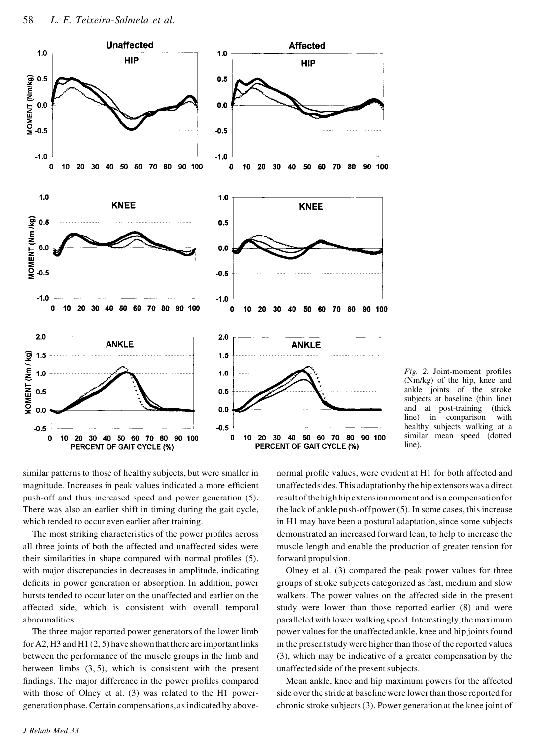

*Fig.* 2. Joint-moment profiles (Nm/kg) of the hip, knee and ankle joints of the stroke subjects at baseline (thin line) and at post-training (thick line) in comparison with healthy subjects walking at a similar mean speed (dotted line).

similar patterns to those of healthy subjects, but were smaller in magnitude. Increases in peak values indicated a more efficient push-off and thus increased speed and power generation (5). There was also an earlier shift in timing during the gait cycle, which tended to occur even earlier after training.

The most striking characteristics of the power profiles across all three joints of both the affected and unaffected sides were their similarities in shape compared with normal profiles  $(5)$ , with major discrepancies in decreases in amplitude, indicating deficits in power generation or absorption. In addition, power bursts tended to occur later on the unaffected and earlier on the affected side, which is consistent with overall temporal abnormalities.

The three major reported power generators of the lower limb for A2, H3 and H1  $(2, 5)$  have shown that there are important links between the performance of the muscle groups in the limb and between limbs (3, 5), which is consistent with the present findings. The major difference in the power profiles compared with those of Olney et al. (3) was related to the H1 powergeneration phase. Certain compensations,asindicated by abovenormal profile values, were evident at H1 for both affected and unaffectedsides.This adaptationby the hip extensorswas a direct result of the high hip extensionmoment and is a compensationfor the lack of ankle push-off power (5). In some cases, this increase in H1 may have been a postural adaptation, since some subjects demonstrated an increased forward lean, to help to increase the muscle length and enable the production of greater tension for forward propulsion.

Olney et al. (3) compared the peak power values for three groups of stroke subjects categorized as fast, medium and slow walkers. The power values on the affected side in the present study were lower than those reported earlier (8) and were paralleledwith lower walking speed.Interestingly,the maximum power values for the unaffected ankle, knee and hip joints found in the present study were higher than those of the reported values (3), which may be indicative of a greater compensation by the unaffected side of the present subjects.

Mean ankle, knee and hip maximum powers for the affected side over the stride at baseline were lower than those reported for chronic stroke subjects(3). Power generation at the knee joint of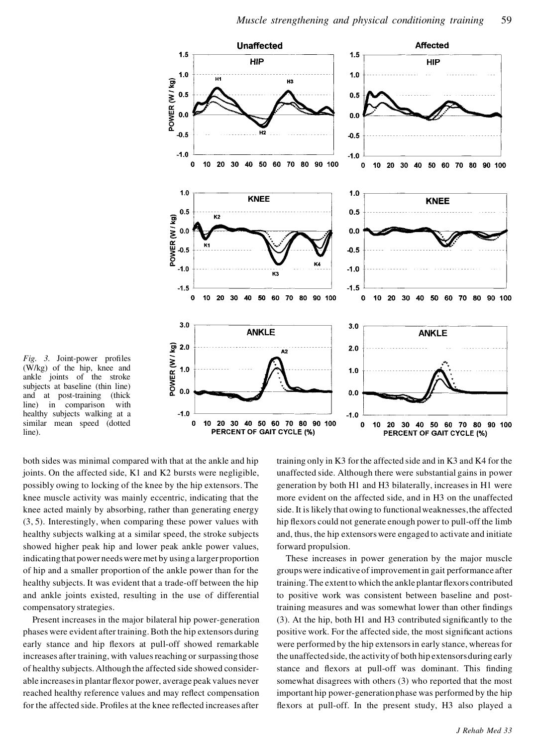

*Fig.* 3. Joint-power profiles (W/kg) of the hip, knee and ankle joints of the stroke subjects at baseline (thin line) and at post-training (thick line) in comparison with healthy subjects walking at a similar mean speed (dotted line).

both sides was minimal compared with that at the ankle and hip joints. On the affected side, K1 and K2 bursts were negligible, possibly owing to locking of the knee by the hip extensors. The knee muscle activity was mainly eccentric, indicating that the knee acted mainly by absorbing, rather than generating energy (3, 5). Interestingly, when comparing these power values with healthy subjects walking at a similar speed, the stroke subjects showed higher peak hip and lower peak ankle power values, indicatingthat power needswere met by using a larger proportion of hip and a smaller proportion of the ankle power than for the healthy subjects. It was evident that a trade-off between the hip and ankle joints existed, resulting in the use of differential compensatory strategies.

Present increases in the major bilateral hip power-generation phases were evident after training.Both the hip extensors during early stance and hip flexors at pull-off showed remarkable increases after training, with values reaching or surpassing those of healthy subjects. Although the affected side showed considerable increases in plantar flexor power, average peak values never reached healthy reference values and may reflect compensation for the affected side. Profiles at the knee reflected increases after

training only in K3 for the affected side and in K3 and K4 for the unaffected side. Although there were substantial gains in power generation by both H1 and H3 bilaterally, increases in H1 were more evident on the affected side, and in H3 on the unaffected side.It is likely that owing to functionalweaknesses,the affected hip flexors could not generate enough power to pull-off the limb and, thus, the hip extensorswere engaged to activate and initiate forward propulsion.

These increases in power generation by the major muscle groupswere indicative of improvement in gait performance after training. The extent to which the ankle plantar flexors contributed to positive work was consistent between baseline and posttraining measures and was somewhat lower than other findings  $(3)$ . At the hip, both H1 and H3 contributed significantly to the positive work. For the affected side, the most significant actions were performed by the hip extensors in early stance, whereas for the unaffectedside, the activity of both hip extensorsduring early stance and flexors at pull-off was dominant. This finding somewhat disagrees with others (3) who reported that the most important hip power-generationphase was performed by the hip flexors at pull-off. In the present study, H3 also played a